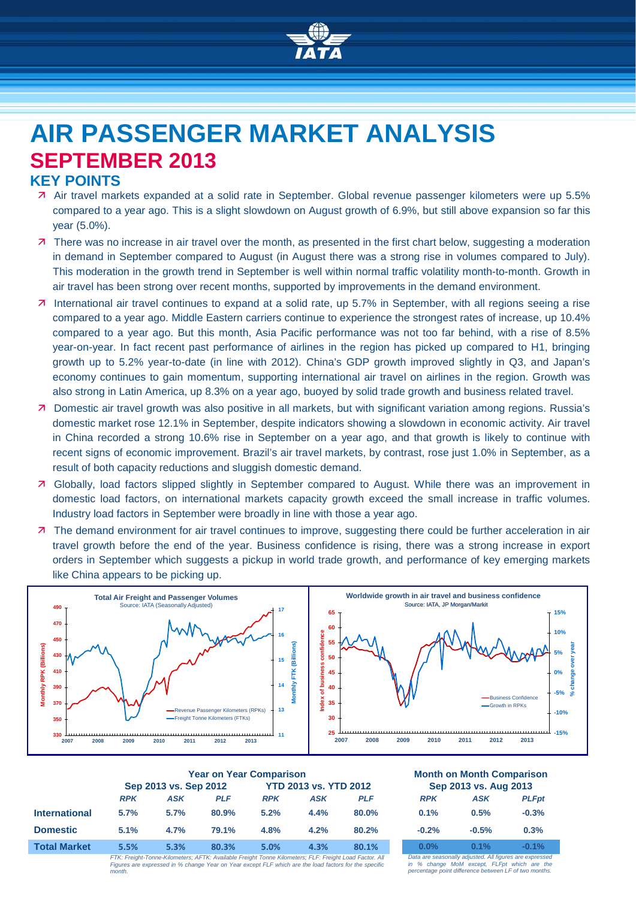

# **AIR PASSENGER MARKET ANALYSIS SEPTEMBER 2013**

# **KEY POINTS**

- Air travel markets expanded at a solid rate in September. Global revenue passenger kilometers were up 5.5% compared to a year ago. This is a slight slowdown on August growth of 6.9%, but still above expansion so far this year (5.0%).
- **7** There was no increase in air travel over the month, as presented in the first chart below, suggesting a moderation in demand in September compared to August (in August there was a strong rise in volumes compared to July). This moderation in the growth trend in September is well within normal traffic volatility month-to-month. Growth in air travel has been strong over recent months, supported by improvements in the demand environment.
- International air travel continues to expand at a solid rate, up 5.7% in September, with all regions seeing a rise compared to a year ago. Middle Eastern carriers continue to experience the strongest rates of increase, up 10.4% compared to a year ago. But this month, Asia Pacific performance was not too far behind, with a rise of 8.5% year-on-year. In fact recent past performance of airlines in the region has picked up compared to H1, bringing growth up to 5.2% year-to-date (in line with 2012). China's GDP growth improved slightly in Q3, and Japan's economy continues to gain momentum, supporting international air travel on airlines in the region. Growth was also strong in Latin America, up 8.3% on a year ago, buoyed by solid trade growth and business related travel.
- Domestic air travel growth was also positive in all markets, but with significant variation among regions. Russia's domestic market rose 12.1% in September, despite indicators showing a slowdown in economic activity. Air travel in China recorded a strong 10.6% rise in September on a year ago, and that growth is likely to continue with recent signs of economic improvement. Brazil's air travel markets, by contrast, rose just 1.0% in September, as a result of both capacity reductions and sluggish domestic demand.
- Globally, load factors slipped slightly in September compared to August. While there was an improvement in domestic load factors, on international markets capacity growth exceed the small increase in traffic volumes. Industry load factors in September were broadly in line with those a year ago.
- The demand environment for air travel continues to improve, suggesting there could be further acceleration in air travel growth before the end of the year. Business confidence is rising, there was a strong increase in export orders in September which suggests a pickup in world trade growth, and performance of key emerging markets like China appears to be picking up.



|                      | <b>Year on Year Comparison</b>                                                                      |            |                              |            |      |            | <b>Month on Month Comparisor</b><br>Sep 2013 vs. Aug 2013 |                                                      |             |
|----------------------|-----------------------------------------------------------------------------------------------------|------------|------------------------------|------------|------|------------|-----------------------------------------------------------|------------------------------------------------------|-------------|
|                      | Sep 2013 vs. Sep 2012                                                                               |            | <b>YTD 2013 vs. YTD 2012</b> |            |      |            |                                                           |                                                      |             |
|                      | <b>RPK</b>                                                                                          | <b>ASK</b> | <b>PLF</b>                   | <b>RPK</b> | ASK  | <b>PLF</b> | <b>RPK</b>                                                | <b>ASK</b>                                           | <b>PLFp</b> |
| <b>International</b> | 5.7%                                                                                                | 5.7%       | 80.9%                        | 5.2%       | 4.4% | $80.0\%$   | 0.1%                                                      | 0.5%                                                 | $-0.3%$     |
| <b>Domestic</b>      | 5.1%                                                                                                | 4.7%       | 79.1%                        | 4.8%       | 4.2% | 80.2%      | $-0.2%$                                                   | $-0.5%$                                              | 0.3%        |
| <b>Total Market</b>  | 5.5%                                                                                                | 5.3%       | 80.3%                        | 5.0%       | 4.3% | 80.1%      | $0.0\%$                                                   | 0.1%                                                 | $-0.1%$     |
|                      | ETK: Emiaht Tonno Kilomotoro: AETK: Available Emiaht Tonno Kilomotoro: ELE: Emiaht Load Easter, All |            |                              |            |      |            |                                                           | Data are eggeneally adjusted All figures are express |             |

*FTK: Freight-Tonne-Kilometers; AFTK: Available Freight Tonne Kilometers; FLF: Freight Load Factor. All Figures are expressed in % change Year on Year except FLF which are the load factors for the specific month.*

# **Year on Year Comparison Month on Month Comparison**

| Sep 2013 vs. Aug 2013 |            |              |  |  |  |  |
|-----------------------|------------|--------------|--|--|--|--|
| <b>RPK</b>            | <b>ASK</b> | <b>PLFpt</b> |  |  |  |  |
| 0.1%                  | 0.5%       | $-0.3%$      |  |  |  |  |
| $-0.2%$               | $-0.5%$    | 0.3%         |  |  |  |  |
| $0.0\%$               | 0.1%       | $-0.1%$      |  |  |  |  |

*Data are seasonally adjusted. All figures are expressed in % change MoM except, FLFpt which are the percentage point difference between LF of two months.*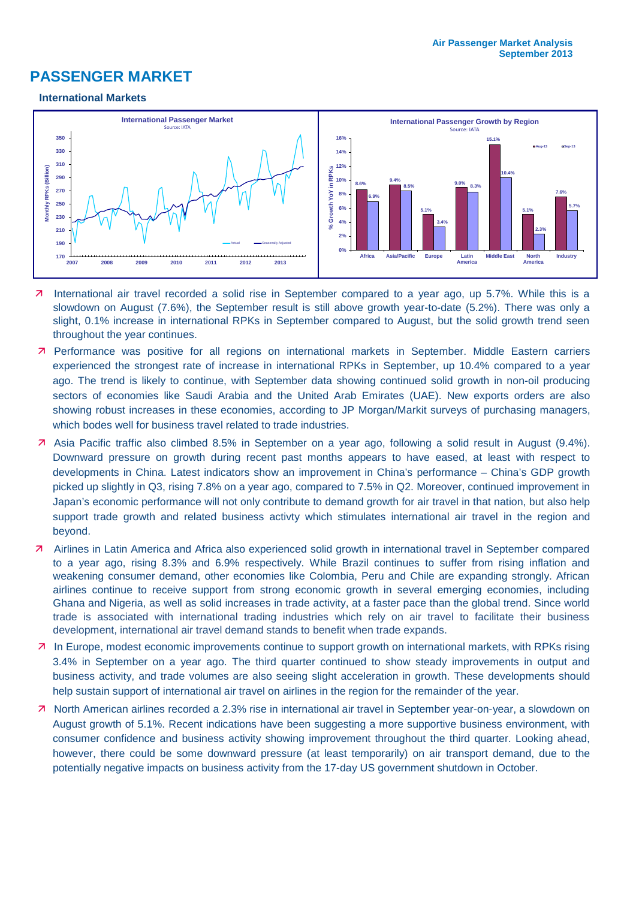# **PASSENGER MARKET**

#### **International Markets**



- International air travel recorded a solid rise in September compared to a year ago, up 5.7%. While this is a slowdown on August (7.6%), the September result is still above growth year-to-date (5.2%). There was only a slight, 0.1% increase in international RPKs in September compared to August, but the solid growth trend seen throughout the year continues.
- 7 Performance was positive for all regions on international markets in September. Middle Eastern carriers experienced the strongest rate of increase in international RPKs in September, up 10.4% compared to a year ago. The trend is likely to continue, with September data showing continued solid growth in non-oil producing sectors of economies like Saudi Arabia and the United Arab Emirates (UAE). New exports orders are also showing robust increases in these economies, according to JP Morgan/Markit surveys of purchasing managers, which bodes well for business travel related to trade industries.
- Asia Pacific traffic also climbed 8.5% in September on a year ago, following a solid result in August (9.4%). Downward pressure on growth during recent past months appears to have eased, at least with respect to developments in China. Latest indicators show an improvement in China's performance – China's GDP growth picked up slightly in Q3, rising 7.8% on a year ago, compared to 7.5% in Q2. Moreover, continued improvement in Japan's economic performance will not only contribute to demand growth for air travel in that nation, but also help support trade growth and related business activty which stimulates international air travel in the region and beyond.
- Airlines in Latin America and Africa also experienced solid growth in international travel in September compared to a year ago, rising 8.3% and 6.9% respectively. While Brazil continues to suffer from rising inflation and weakening consumer demand, other economies like Colombia, Peru and Chile are expanding strongly. African airlines continue to receive support from strong economic growth in several emerging economies, including Ghana and Nigeria, as well as solid increases in trade activity, at a faster pace than the global trend. Since world trade is associated with international trading industries which rely on air travel to facilitate their business development, international air travel demand stands to benefit when trade expands.
- 7 In Europe, modest economic improvements continue to support growth on international markets, with RPKs rising 3.4% in September on a year ago. The third quarter continued to show steady improvements in output and business activity, and trade volumes are also seeing slight acceleration in growth. These developments should help sustain support of international air travel on airlines in the region for the remainder of the year.
- North American airlines recorded a 2.3% rise in international air travel in September year-on-year, a slowdown on August growth of 5.1%. Recent indications have been suggesting a more supportive business environment, with consumer confidence and business activity showing improvement throughout the third quarter. Looking ahead, however, there could be some downward pressure (at least temporarily) on air transport demand, due to the potentially negative impacts on business activity from the 17-day US government shutdown in October.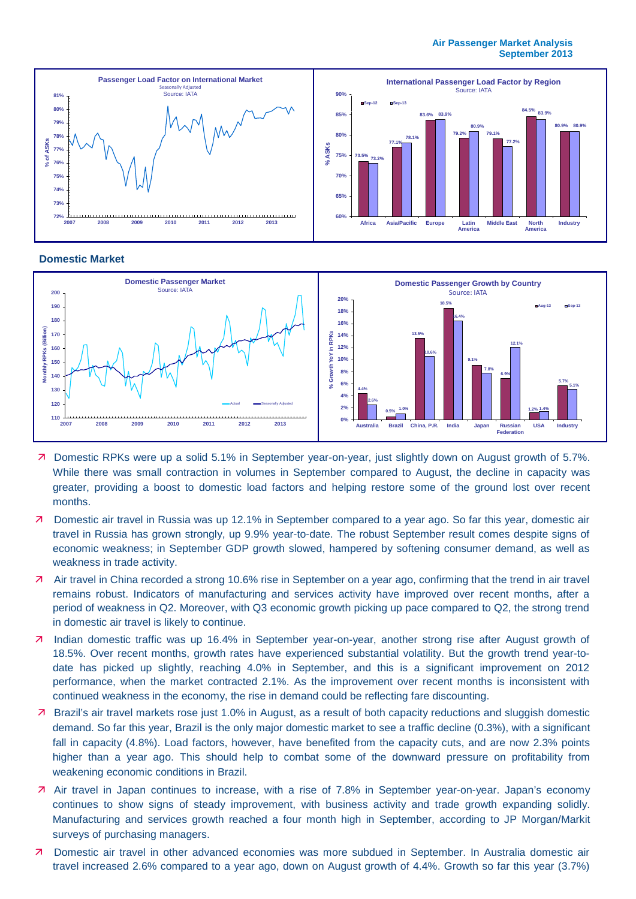#### **Air Passenger Market Analysis September 2013**



#### **Domestic Market**



- Domestic RPKs were up a solid 5.1% in September year-on-year, just slightly down on August growth of 5.7%. While there was small contraction in volumes in September compared to August, the decline in capacity was greater, providing a boost to domestic load factors and helping restore some of the ground lost over recent months.
- Domestic air travel in Russia was up 12.1% in September compared to a year ago. So far this year, domestic air travel in Russia has grown strongly, up 9.9% year-to-date. The robust September result comes despite signs of economic weakness; in September GDP growth slowed, hampered by softening consumer demand, as well as weakness in trade activity.
- Air travel in China recorded a strong 10.6% rise in September on a year ago, confirming that the trend in air travel remains robust. Indicators of manufacturing and services activity have improved over recent months, after a period of weakness in Q2. Moreover, with Q3 economic growth picking up pace compared to Q2, the strong trend in domestic air travel is likely to continue.
- 7 Indian domestic traffic was up 16.4% in September year-on-year, another strong rise after August growth of 18.5%. Over recent months, growth rates have experienced substantial volatility. But the growth trend year-todate has picked up slightly, reaching 4.0% in September, and this is a significant improvement on 2012 performance, when the market contracted 2.1%. As the improvement over recent months is inconsistent with continued weakness in the economy, the rise in demand could be reflecting fare discounting.
- Brazil's air travel markets rose just 1.0% in August, as a result of both capacity reductions and sluggish domestic demand. So far this year, Brazil is the only major domestic market to see a traffic decline (0.3%), with a significant fall in capacity (4.8%). Load factors, however, have benefited from the capacity cuts, and are now 2.3% points higher than a year ago. This should help to combat some of the downward pressure on profitability from weakening economic conditions in Brazil.
- Air travel in Japan continues to increase, with a rise of 7.8% in September year-on-year. Japan's economy continues to show signs of steady improvement, with business activity and trade growth expanding solidly. Manufacturing and services growth reached a four month high in September, according to JP Morgan/Markit surveys of purchasing managers.
- Domestic air travel in other advanced economies was more subdued in September. In Australia domestic air travel increased 2.6% compared to a year ago, down on August growth of 4.4%. Growth so far this year (3.7%)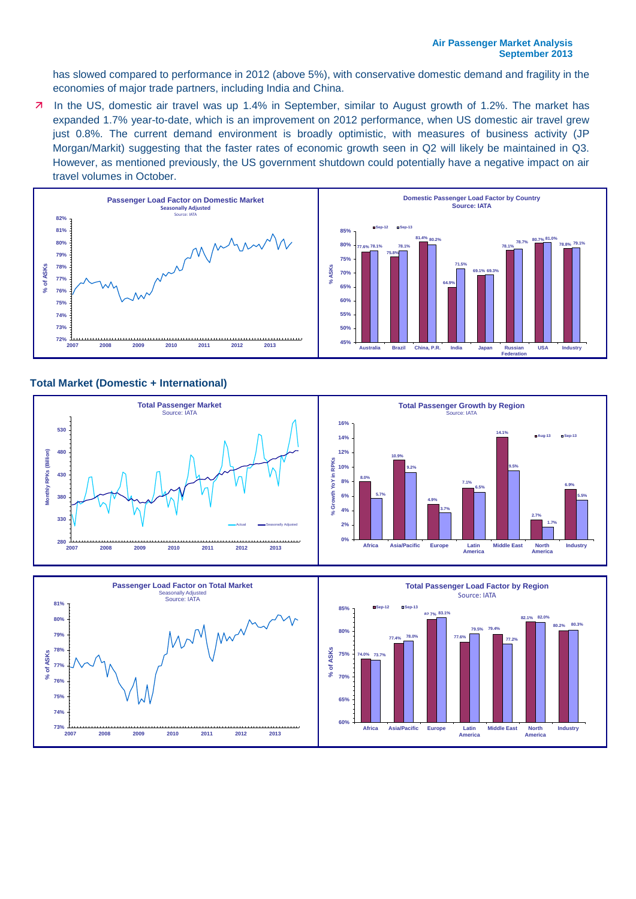has slowed compared to performance in 2012 (above 5%), with conservative domestic demand and fragility in the economies of major trade partners, including India and China.

7 In the US, domestic air travel was up 1.4% in September, similar to August growth of 1.2%. The market has expanded 1.7% year-to-date, which is an improvement on 2012 performance, when US domestic air travel grew just 0.8%. The current demand environment is broadly optimistic, with measures of business activity (JP Morgan/Markit) suggesting that the faster rates of economic growth seen in Q2 will likely be maintained in Q3. However, as mentioned previously, the US government shutdown could potentially have a negative impact on air travel volumes in October.



## **Total Market (Domestic + International)**

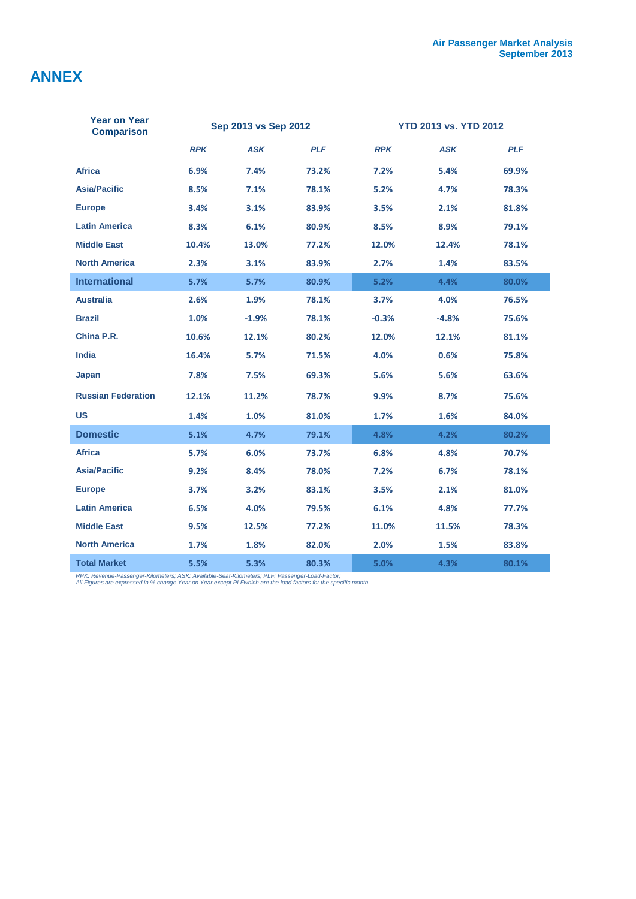# **ANNEX**

| <b>Year on Year</b><br><b>Comparison</b> |            | Sep 2013 vs Sep 2012 |            | <b>YTD 2013 vs. YTD 2012</b> |            |            |  |
|------------------------------------------|------------|----------------------|------------|------------------------------|------------|------------|--|
|                                          | <b>RPK</b> | <b>ASK</b>           | <b>PLF</b> | <b>RPK</b>                   | <b>ASK</b> | <b>PLF</b> |  |
| <b>Africa</b>                            | 6.9%       | 7.4%                 | 73.2%      | 7.2%                         | 5.4%       | 69.9%      |  |
| <b>Asia/Pacific</b>                      | 8.5%       | 7.1%                 | 78.1%      | 5.2%                         | 4.7%       | 78.3%      |  |
| <b>Europe</b>                            | 3.4%       | 3.1%                 | 83.9%      | 3.5%                         | 2.1%       | 81.8%      |  |
| <b>Latin America</b>                     | 8.3%       | 6.1%                 | 80.9%      | 8.5%                         | 8.9%       | 79.1%      |  |
| <b>Middle East</b>                       | 10.4%      | 13.0%                | 77.2%      | 12.0%                        | 12.4%      | 78.1%      |  |
| <b>North America</b>                     | 2.3%       | 3.1%                 | 83.9%      | 2.7%                         | 1.4%       | 83.5%      |  |
| <b>International</b>                     | 5.7%       | 5.7%                 | 80.9%      | 5.2%                         | 4.4%       | 80.0%      |  |
| <b>Australia</b>                         | 2.6%       | 1.9%                 | 78.1%      | 3.7%                         | 4.0%       | 76.5%      |  |
| <b>Brazil</b>                            | 1.0%       | $-1.9%$              | 78.1%      | $-0.3%$                      | $-4.8%$    | 75.6%      |  |
| China P.R.                               | 10.6%      | 12.1%                | 80.2%      | 12.0%                        | 12.1%      | 81.1%      |  |
| <b>India</b>                             | 16.4%      | 5.7%                 | 71.5%      | 4.0%                         | 0.6%       | 75.8%      |  |
| Japan                                    | 7.8%       | 7.5%                 | 69.3%      | 5.6%                         | 5.6%       | 63.6%      |  |
| <b>Russian Federation</b>                | 12.1%      | 11.2%                | 78.7%      | 9.9%                         | 8.7%       | 75.6%      |  |
| <b>US</b>                                | 1.4%       | 1.0%                 | 81.0%      | 1.7%                         | 1.6%       | 84.0%      |  |
| <b>Domestic</b>                          | 5.1%       | 4.7%                 | 79.1%      | 4.8%                         | 4.2%       | 80.2%      |  |
| <b>Africa</b>                            | 5.7%       | 6.0%                 | 73.7%      | 6.8%                         | 4.8%       | 70.7%      |  |
| <b>Asia/Pacific</b>                      | 9.2%       | 8.4%                 | 78.0%      | 7.2%                         | 6.7%       | 78.1%      |  |
| <b>Europe</b>                            | 3.7%       | 3.2%                 | 83.1%      | 3.5%                         | 2.1%       | 81.0%      |  |
| <b>Latin America</b>                     | 6.5%       | 4.0%                 | 79.5%      | 6.1%                         | 4.8%       | 77.7%      |  |
| <b>Middle East</b>                       | 9.5%       | 12.5%                | 77.2%      | 11.0%                        | 11.5%      | 78.3%      |  |
| <b>North America</b>                     | 1.7%       | 1.8%                 | 82.0%      | 2.0%                         | 1.5%       | 83.8%      |  |
| <b>Total Market</b>                      | 5.5%       | 5.3%                 | 80.3%      | 5.0%                         | 4.3%       | 80.1%      |  |

*RPK: Revenue-Passenger-Kilometers; ASK: Available-Seat-Kilometers; PLF: Passenger-Load-Factor; All Figures are expressed in % change Year on Year except PLFwhich are the load factors for the specific month.*